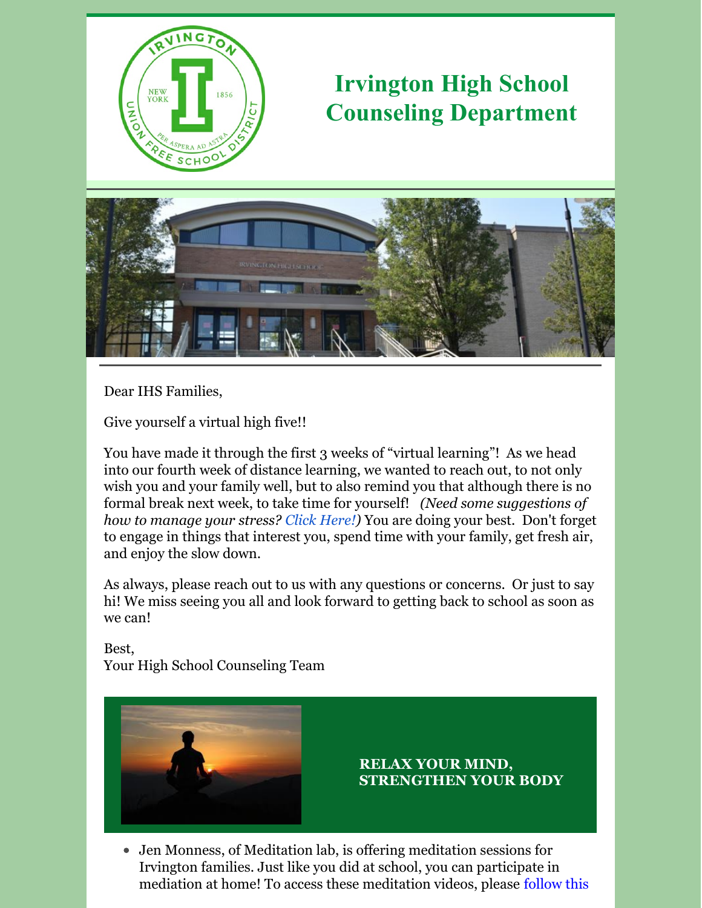

# **Irvington High School Counseling Department**



Dear IHS Families,

Give yourself a virtual high five!!

You have made it through the first 3 weeks of "virtual learning"! As we head into our fourth week of distance learning, we wanted to reach out, to not only wish you and your family well, but to also remind you that although there is no formal break next week, to take time for yourself! *(Need some suggestions of how to manage your stress? Click [Here!](https://www.collegeessayguy.com/blog/coronavirus-self-care))* You are doing your best. Don't forget to engage in things that interest you, spend time with your family, get fresh air, and enjoy the slow down.

As always, please reach out to us with any questions or concerns. Or just to say hi! We miss seeing you all and look forward to getting back to school as soon as we can!

Best, Your High School Counseling Team



### **RELAX YOUR MIND, STRENGTHEN YOUR BODY**

Jen Monness, of Meditation lab, is offering meditation sessions for Irvington families. Just like you did at school, you can participate in mediation at home! To access these [meditation](http://r20.rs6.net/tn.jsp?f=001a1HfOOVWz499wTwzW7RNSEDPvU9rPxU2mOf1tybBl1LF-TmFZhi8sDolsXiUJMR4uUkZrwt_6-C_IagNzSYuu85okb2unnR4zQp5fyHLQs1AV0JOhFXEnyCd9TEyBpyTOB9xSpkUgAXsed8Fo6wLdLD1mJsAMfNFn5EYFswS69igLBGN8l2ZlfSs-h6CRIpR0VO-zGGFjvLwVFLaTDUCAtPLKR2g2AU322Xca2m5mxQ=&c=4znbPujUcPPK-UkD6vJn2NGRpxzB1Fnsn8FVxIAUSkTE-IWlg4ZwHw==&ch=oS48u_fH9XPgZH0f_qIdGm-kRtvtjvWWNuAfljK9Np7YSm5LT-Drig==) videos, please follow this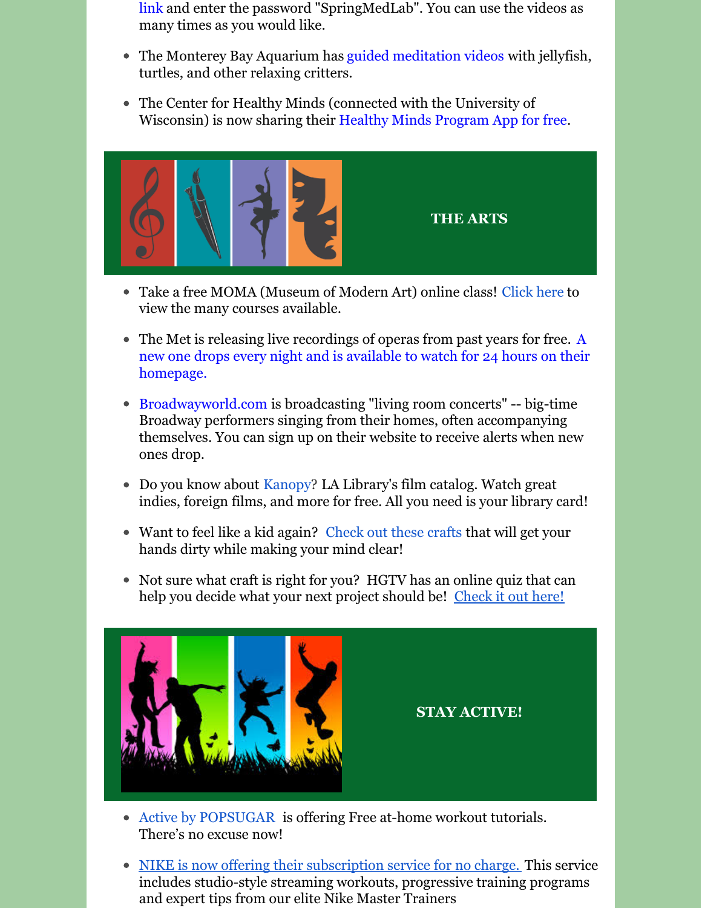link and enter the password "SpringMedLab". You can use the videos as many times as you would like.

- The Monterey Bay Aquarium ha[s](https://www.youtube.com/playlist?list=PLq_DVMr7CmlJ3DJothjCJNylwgyrB72V6) guided [meditation](https://www.youtube.com/playlist?list=PLq_DVMr7CmlJ3DJothjCJNylwgyrB72V6) videos with jellyfish, turtles, and other relaxing critters.
- The Center for Healthy Minds (connected with the University of Wisconsin) is now sharing thei[r](https://tryhealthyminds.org/?utm_campaign=d552d1adf1- Mar2019_DNewsletter&utm_medium=email&utm_source=Center for Healthy Minds&utm_term=0_cce2315563-d552d1adf1-8854969) Healthy Minds [Program](https://tryhealthyminds.org/?utm_campaign=d552d1adf1- Mar2019_DNewsletter&utm_medium=email&utm_source=Center for Healthy Minds&utm_term=0_cce2315563-d552d1adf1-8854969) App for free.



- Take a free MOMA (Museum of Modern Art) online class! [Click](https://www.moma.org/research-and-learning/classes) here to view the many courses available.
- The Met is releasing live [recordings](https://www.metopera.org/) of operas from past years for free. A new one drops every night and is available to watch for 24 hours on their homepage.
- [Broadwayworld.com](http://broadwayworld.com/) is broadcasting "living room concerts" -- big-time Broadway performers singing from their homes, often accompanying themselves. You can sign up on their website to receive alerts when new ones drop.
- Do you know about [Kanopy](https://www.kanopy.com/)? LA Library's film catalog. Watch great indies, foreign films, and more for free. All you need is your library card!
- Want to feel like a kid again? [Check](https://artsycraftsymom.com/category/art-activities/artists/?fbclid=IwAR3aIYBbcomLuD0Z0PS9DdCR_UHOLJV0C-_sYv_rPZdOu8ESyD6J_b04Pxk) out these crafts that will get your hands dirty while making your mind clear!
- Not sure what craft is right for you? HGTV has an online quiz that can help you decide what your next project should be! [Check](https://www.hgtv.com/design/make-and-celebrate/handmade/quiz-what-type-of-artist-are-you) it out here!



**STAY ACTIVE!**

- Active by [POPSUGAR](https://www.popsugar.com/fitness/active-by-popsugar-launches-free-workouts-amid-coronavirus-47311907) is offering Free at-home workout tutorials. There's no excuse now!
- NIKE is now offering their [subscription](https://news.nike.com/news/nike-digital-health-activity-resources) service for no charge. This service includes studio-style streaming workouts, progressive training programs and expert tips from our elite Nike Master Trainers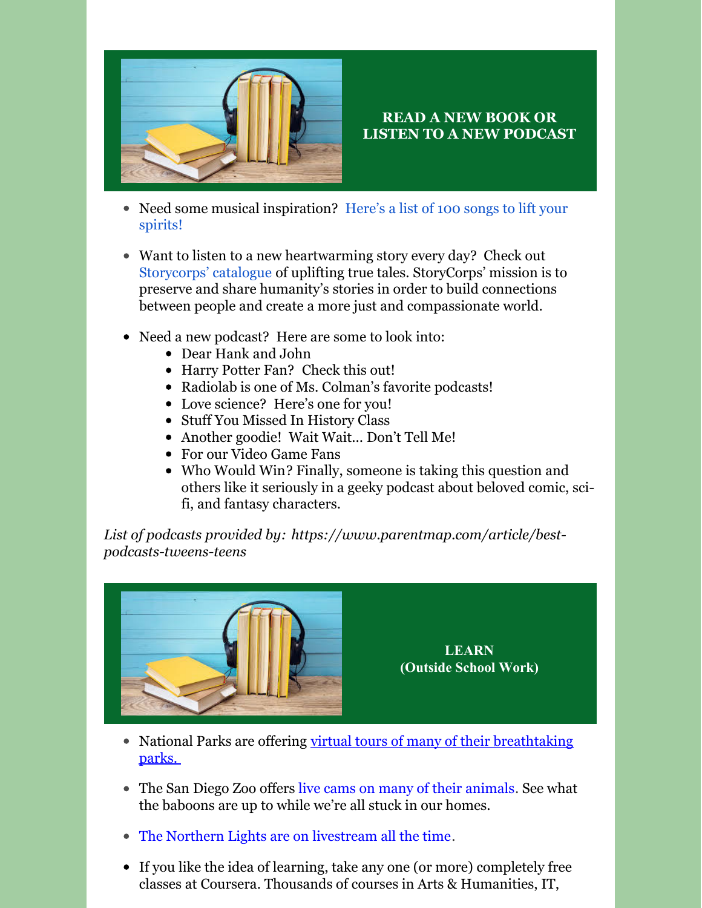

### **READ A NEW BOOK OR LISTEN TO A NEW PODCAST**

- Need some musical [inspiration?](https://www.usatoday.com/story/entertainment/music/2020/03/20/coronavirus-100-songs-listen-while-youre-stuck-at-home/2882725001/) Here's a list of 100 songs to lift your spirits!
- Want to listen to a new heartwarming story every day? Check out [Storycorps'](https://storycorps.org/heartwarming/) catalogue of uplifting true tales. StoryCorps' mission is to preserve and share humanity's stories in order to build connections between people and create a more just and compassionate world.
- Need a new podcast? Here are some to look into:
	- Dear [Hank](https://www.wnycstudios.org/podcasts/dear-hank-john) and John
	- Harry Potter Fan? [Check](https://www.harrypottersacredtext.com/) this out!
	- [Radiolab](https://www.wnycstudios.org/podcasts/radiolab) is one of Ms. Colman's favorite podcasts!
	- Love science? [Here's](https://www.sciencefriday.com/) one for you!
	- Stuff You Missed In [History](https://www.iheart.com/podcast/stuff-you-missed-in-history-cl-21124503/) Class
	- Another goodie! Wait [Wait...](https://www.npr.org/programs/wait-wait-dont-tell-me/) Don't Tell Me!
	- For our Video [Game](https://whatsgoodgames.com/) Fans
	- Who [Would](https://whowouldwinshow.com/listen/) Win? Finally, someone is taking this question and others like it seriously in a geeky podcast about beloved comic, scifi, and fantasy characters.

*List of podcasts provided by: [https://www.parentmap.com/article/best](https://www.parentmap.com/article/best-podcasts-tweens-teens)podcasts-tweens-teens*



**LEARN (Outside School Work)**

- National Parks are offering virtual tours of many of their [breathtaking](https://www.insider.com/national-parks-america-virtual-tours-3d-visit-2020-3#take-in-the-stunning-canyons-found-in-big-bend-national-park-4) parks.
- The San Diego Zoo offer[s](https://animals.sandiegozoo.org/live-cams) live cams on many of their [animals](https://animals.sandiegozoo.org/live-cams). See what the baboons are up to while we're all stuck in our homes.
- The Northern Lights are on [livestream](https://explore.org/livecams/aurora-borealis-northern-lights/northern-lights-cam) all the time.
- If you like the idea of learning, take any one (or more) completely free classes at [Coursera](https://www.coursera.org/). Thousands of courses in Arts & Humanities, IT,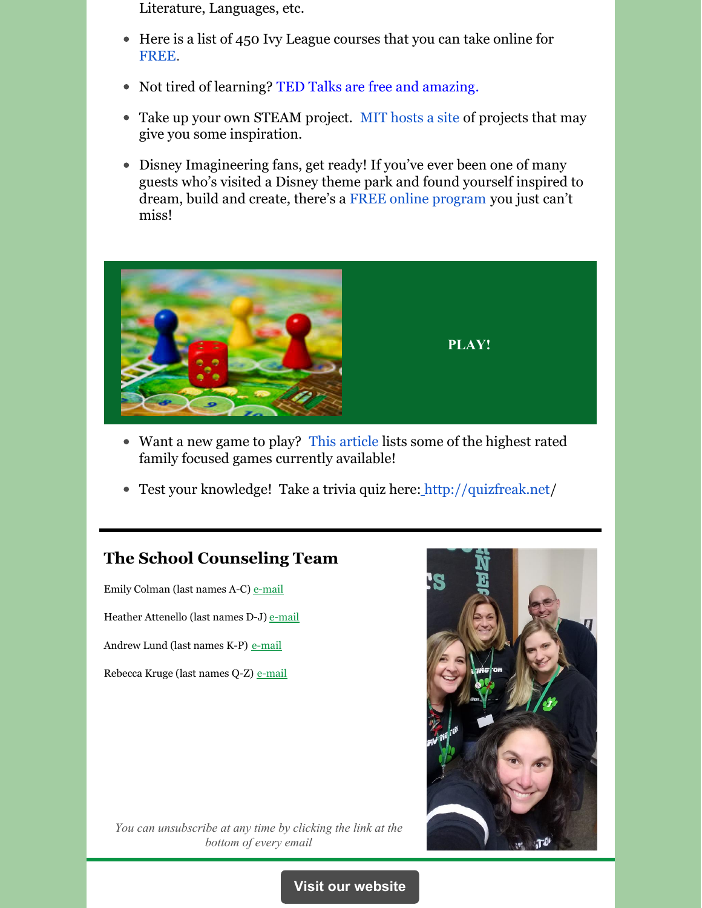Literature, Languages, etc.

- Here is a list of 450 Ivy League courses that you can take online for [FREE](https://www.freecodecamp.org/news/ivy-league-free-online-courses-a0d7ae675869/).
- Not tired of learning? TED Talks are free and [amazing](https://www.ted.com/talks).
- Take up your own STEAM project. MIT [hosts](https://fullsteam.mit.edu/projects-page/) a site of projects that may give you some inspiration.
- Disney Imagineering fans, get ready! If you've ever been one of many guests who's visited a Disney theme park and found yourself inspired to dream, build and create, there's a FREE online [program](https://disneyparks.disney.go.com/blog/2019/08/walt-disney-imagineering-partners-with-khan-academy-to-bring-you-imagineering-in-a-box/) you just can't miss!



- Want a new game to play? This [article](https://nymag.com/strategist/article/best-family-board-games.html) lists some of the highest rated family focused games currently available!
- Test your knowledge! Take a trivia quiz here: <http://quizfreak.net/>

## **The School Counseling Team**

Emily Colman (last names A-C) [e-mail](mailto:emily.colman@irvingtonschools.org)

Heather Attenello (last names D-J) [e-mail](mailto:heather.attenello@irvingtonschools.org)

Andrew Lund (last names K-P) [e-mail](mailto:andrew.lund@irvingtonschools.org)

Rebecca Kruge (last names Q-Z) [e-mail](mailto:rebecca.kruge@irvingtonschools.org)



*You can unsubscribe at any time by clicking the link at the bottom of every email*

#### **Visit our [website](https://www.irvingtonschools.org/Page/3158)**